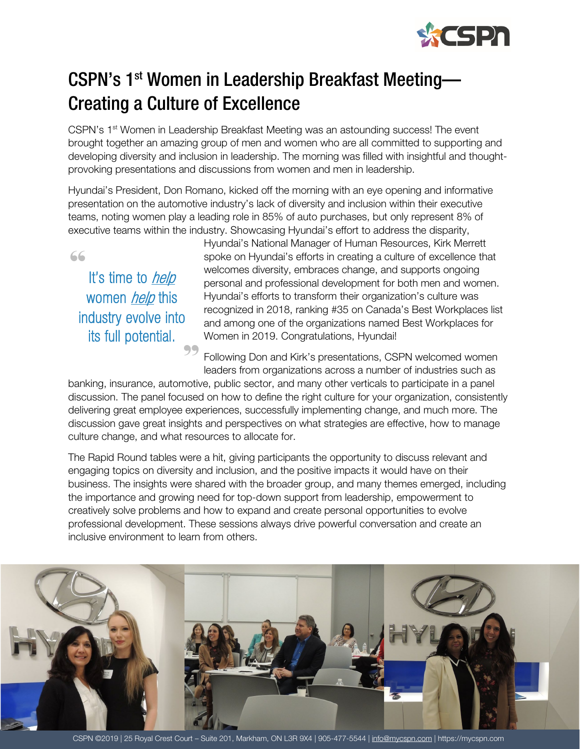

## CSPN's 1st Women in Leadership Breakfast Meeting— Creating a Culture of Excellence

CSPN's 1<sup>st</sup> Women in Leadership Breakfast Meeting was an astounding success! The event brought together an amazing group of men and women who are all committed to supporting and developing diversity and inclusion in leadership. The morning was filled with insightful and thoughtprovoking presentations and discussions from women and men in leadership.

Hyundai's President, Don Romano, kicked off the morning with an eye opening and informative presentation on the automotive industry's lack of diversity and inclusion within their executive teams, noting women play a leading role in 85% of auto purchases, but only represent 8% of executive teams within the industry. Showcasing Hyundai's effort to address the disparity,

"

It's time to *help* women *help* this industry evolve into its full potential.

99

Hyundai's National Manager of Human Resources, Kirk Merrett spoke on Hyundai's efforts in creating a culture of excellence that welcomes diversity, embraces change, and supports ongoing personal and professional development for both men and women. Hyundai's efforts to transform their organization's culture was recognized in 2018, ranking #35 on Canada's Best Workplaces list and among one of the organizations named Best Workplaces for Women in 2019. Congratulations, Hyundai!

Following Don and Kirk's presentations, CSPN welcomed women leaders from organizations across a number of industries such as

banking, insurance, automotive, public sector, and many other verticals to participate in a panel discussion. The panel focused on how to define the right culture for your organization, consistently delivering great employee experiences, successfully implementing change, and much more. The discussion gave great insights and perspectives on what strategies are effective, how to manage culture change, and what resources to allocate for.

The Rapid Round tables were a hit, giving participants the opportunity to discuss relevant and engaging topics on diversity and inclusion, and the positive impacts it would have on their business. The insights were shared with the broader group, and many themes emerged, including the importance and growing need for top-down support from leadership, empowerment to creatively solve problems and how to expand and create personal opportunities to evolve professional development. These sessions always drive powerful conversation and create an inclusive environment to learn from others.



CSPN @2019 | 25 Royal Crest Court – Suite 201, Markham, ON L3R 9X4 | 905-477-5544 [| info@mycspn.com](mailto:info@mycspn.com) | https://mycspn.com